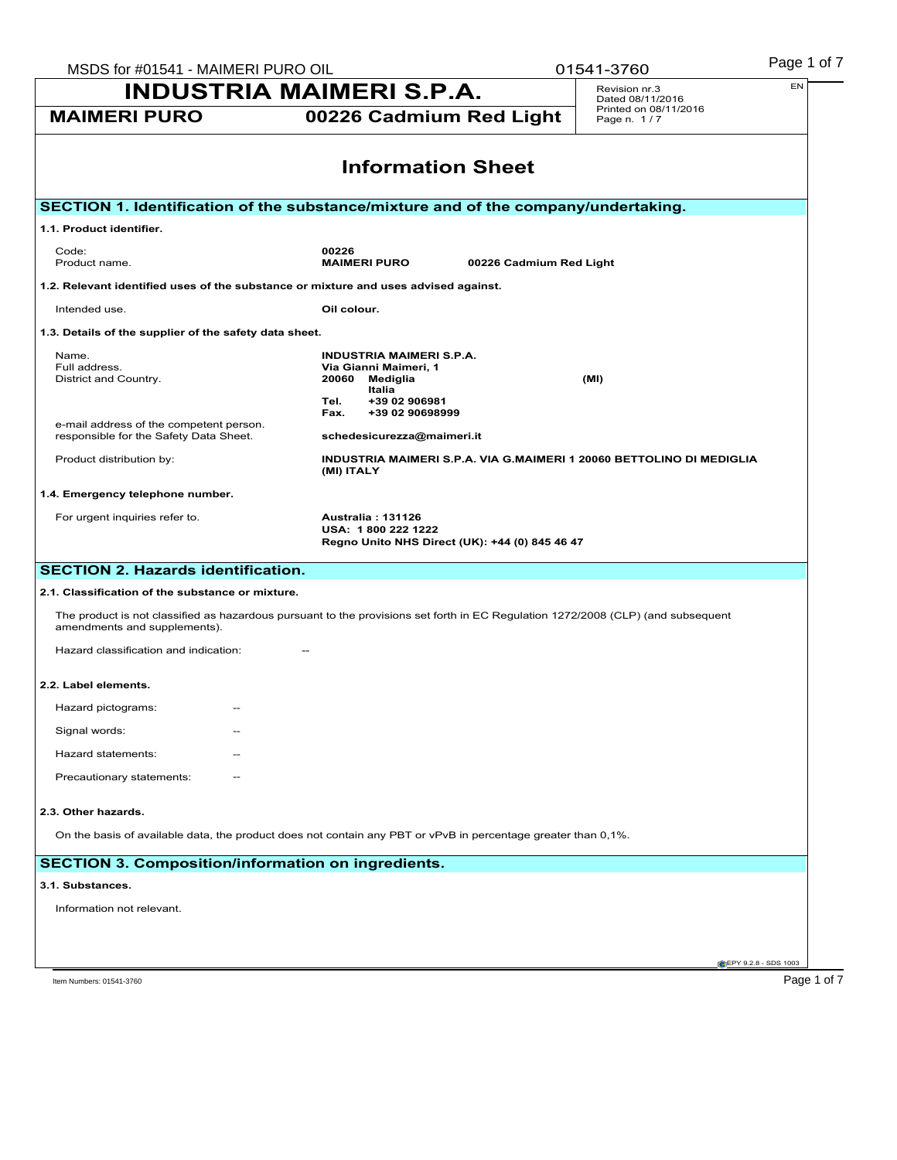| MSDS for #01541 - MAIMERI PURO OIL<br><b>INDUSTRIA MAIMERI S.P.A.</b>                                                                                            |                                                                                                                                             |                         | 01541-3760                           |                              |
|------------------------------------------------------------------------------------------------------------------------------------------------------------------|---------------------------------------------------------------------------------------------------------------------------------------------|-------------------------|--------------------------------------|------------------------------|
|                                                                                                                                                                  |                                                                                                                                             |                         | Revision nr.3<br>Dated 08/11/2016    | EN                           |
| <b>MAIMERI PURO</b>                                                                                                                                              | 00226 Cadmium Red Light                                                                                                                     |                         | Printed on 08/11/2016<br>Page n. 1/7 |                              |
|                                                                                                                                                                  | <b>Information Sheet</b>                                                                                                                    |                         |                                      |                              |
| SECTION 1. Identification of the substance/mixture and of the company/undertaking.                                                                               |                                                                                                                                             |                         |                                      |                              |
| 1.1. Product identifier.                                                                                                                                         |                                                                                                                                             |                         |                                      |                              |
| Code:<br>Product name.                                                                                                                                           | 00226<br><b>MAIMERI PURO</b>                                                                                                                | 00226 Cadmium Red Light |                                      |                              |
| 1.2. Relevant identified uses of the substance or mixture and uses advised against.                                                                              |                                                                                                                                             |                         |                                      |                              |
| Intended use.                                                                                                                                                    | Oil colour.                                                                                                                                 |                         |                                      |                              |
| 1.3. Details of the supplier of the safety data sheet.                                                                                                           |                                                                                                                                             |                         |                                      |                              |
| Name.<br>Full address.<br>District and Country.                                                                                                                  | <b>INDUSTRIA MAIMERI S.P.A.</b><br>Via Gianni Maimeri, 1<br>20060<br>Mediglia<br>Italia<br>+39 02 906981<br>Tel.<br>+39 02 90698999<br>Fax. |                         | (MI)                                 |                              |
| e-mail address of the competent person.<br>responsible for the Safety Data Sheet.                                                                                | schedesicurezza@maimeri.it                                                                                                                  |                         |                                      |                              |
| Product distribution by:                                                                                                                                         | INDUSTRIA MAIMERI S.P.A. VIA G.MAIMERI 1 20060 BETTOLINO DI MEDIGLIA<br>(MI) ITALY                                                          |                         |                                      |                              |
| 1.4. Emergency telephone number.                                                                                                                                 |                                                                                                                                             |                         |                                      |                              |
| For urgent inquiries refer to.                                                                                                                                   | <b>Australia: 131126</b><br>USA: 1800 222 1222<br>Regno Unito NHS Direct (UK): +44 (0) 845 46 47                                            |                         |                                      |                              |
| <b>SECTION 2. Hazards identification.</b>                                                                                                                        |                                                                                                                                             |                         |                                      |                              |
| 2.1. Classification of the substance or mixture.                                                                                                                 |                                                                                                                                             |                         |                                      |                              |
| The product is not classified as hazardous pursuant to the provisions set forth in EC Regulation 1272/2008 (CLP) (and subsequent<br>amendments and supplements). |                                                                                                                                             |                         |                                      |                              |
| Hazard classification and indication:                                                                                                                            |                                                                                                                                             |                         |                                      |                              |
| 2.2. Label elements.                                                                                                                                             |                                                                                                                                             |                         |                                      |                              |
| Hazard pictograms:<br>$\overline{\phantom{m}}$                                                                                                                   |                                                                                                                                             |                         |                                      |                              |
| Signal words:                                                                                                                                                    |                                                                                                                                             |                         |                                      |                              |
| Hazard statements:                                                                                                                                               |                                                                                                                                             |                         |                                      |                              |
| Precautionary statements:                                                                                                                                        |                                                                                                                                             |                         |                                      |                              |
| 2.3. Other hazards.                                                                                                                                              |                                                                                                                                             |                         |                                      |                              |
| On the basis of available data, the product does not contain any PBT or vPvB in percentage greater than 0,1%.                                                    |                                                                                                                                             |                         |                                      |                              |
| <b>SECTION 3. Composition/information on ingredients.</b>                                                                                                        |                                                                                                                                             |                         |                                      |                              |
| 3.1. Substances.                                                                                                                                                 |                                                                                                                                             |                         |                                      |                              |
| Information not relevant.                                                                                                                                        |                                                                                                                                             |                         |                                      |                              |
|                                                                                                                                                                  |                                                                                                                                             |                         |                                      |                              |
|                                                                                                                                                                  |                                                                                                                                             |                         |                                      | <b>CEPY 9.2.8 - SDS 1003</b> |
| Item Numbers: 01541-3760                                                                                                                                         |                                                                                                                                             |                         |                                      | Page 1 of 7                  |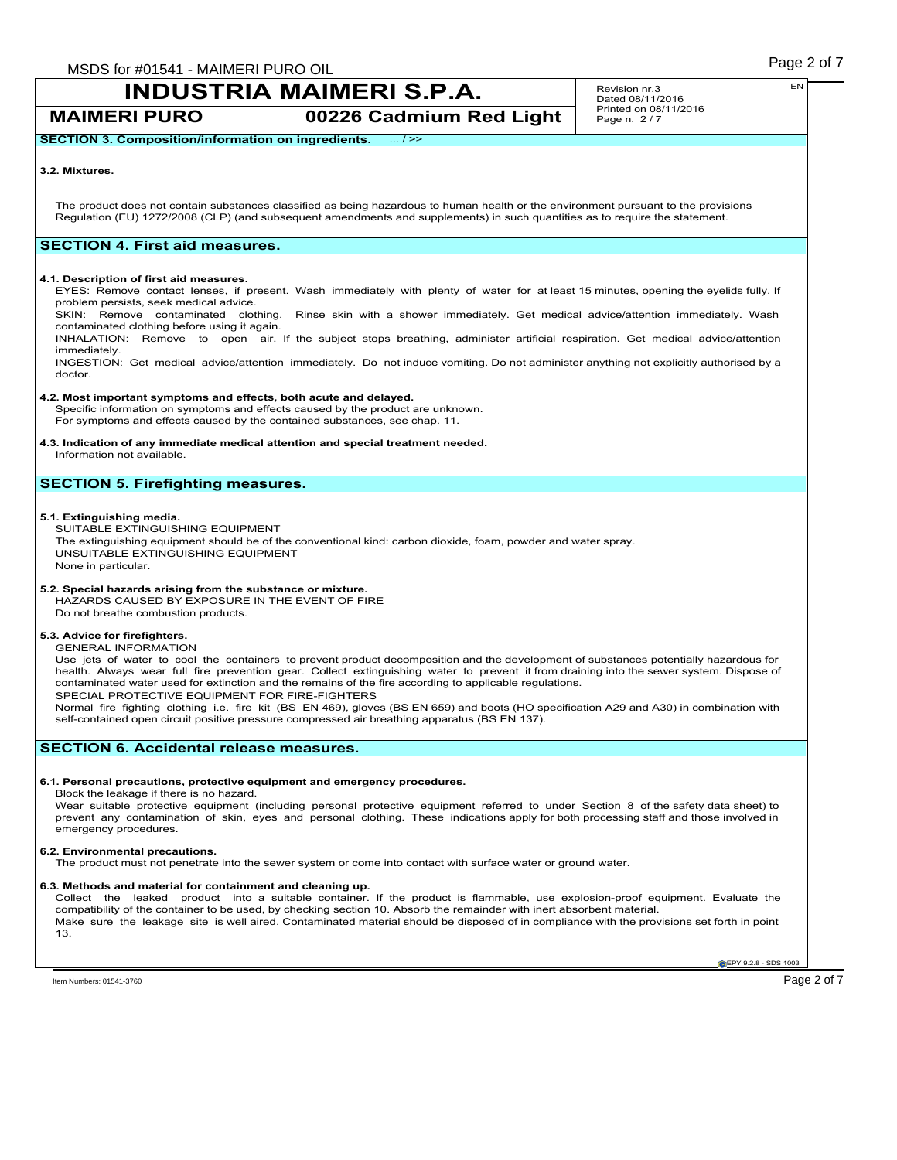**MAIMERI PURO 00226 Cadmium Red Light**

Revision nr.3 Dated 08/11/2016 Printed on 08/11/2016 Page n. 2 / 7

**SECTION 3. Composition/information on ingredients.** ... / >>

### **3.2. Mixtures.**

The product does not contain substances classified as being hazardous to human health or the environment pursuant to the provisions Regulation (EU) 1272/2008 (CLP) (and subsequent amendments and supplements) in such quantities as to require the statement.

# **SECTION 4. First aid measures.**

### **4.1. Description of first aid measures.**

EYES: Remove contact lenses, if present. Wash immediately with plenty of water for at least 15 minutes, opening the eyelids fully. If problem persists, seek medical advice.

SKIN: Remove contaminated clothing. Rinse skin with a shower immediately. Get medical advice/attention immediately. Wash contaminated clothing before using it again.

INHALATION: Remove to open air. If the subject stops breathing, administer artificial respiration. Get medical advice/attention immediately.

INGESTION: Get medical advice/attention immediately. Do not induce vomiting. Do not administer anything not explicitly authorised by a doctor.

### **4.2. Most important symptoms and effects, both acute and delayed.**

Specific information on symptoms and effects caused by the product are unknown. For symptoms and effects caused by the contained substances, see chap. 11.

# **4.3. Indication of any immediate medical attention and special treatment needed.**

Information not available.

# **SECTION 5. Firefighting measures.**

### **5.1. Extinguishing media.**

SUITABLE EXTINGUISHING EQUIPMENT The extinguishing equipment should be of the conventional kind: carbon dioxide, foam, powder and water spray. UNSUITABLE EXTINGUISHING EQUIPMENT None in particular.

# **5.2. Special hazards arising from the substance or mixture.**

HAZARDS CAUSED BY EXPOSURE IN THE EVENT OF FIRE Do not breathe combustion products.

## **5.3. Advice for firefighters.**

GENERAL INFORMATION

Use jets of water to cool the containers to prevent product decomposition and the development of substances potentially hazardous for health. Always wear full fire prevention gear. Collect extinguishing water to prevent it from draining into the sewer system. Dispose of contaminated water used for extinction and the remains of the fire according to applicable regulations. SPECIAL PROTECTIVE EQUIPMENT FOR FIRE-FIGHTERS

Normal fire fighting clothing i.e. fire kit (BS EN 469), gloves (BS EN 659) and boots (HO specification A29 and A30) in combination with self-contained open circuit positive pressure compressed air breathing apparatus (BS EN 137).

# **SECTION 6. Accidental release measures.**

### **6.1. Personal precautions, protective equipment and emergency procedures.**

Block the leakage if there is no hazard.

Wear suitable protective equipment (including personal protective equipment referred to under Section 8 of the safety data sheet) to<br>prevent any contamination of skin, eyes and personal clothing. These indications apply fo emergency procedures.

### **6.2. Environmental precautions.**

The product must not penetrate into the sewer system or come into contact with surface water or ground water.

## **6.3. Methods and material for containment and cleaning up.**

Collect the leaked product into a suitable container. If the product is flammable, use explosion-proof equipment. Evaluate the compatibility of the container to be used, by checking section 10. Absorb the remainder with inert absorbent material. Make sure the leakage site is well aired. Contaminated material should be disposed of in compliance with the provisions set forth in point 13.

**EPY 9.2.8 - SDS 1003**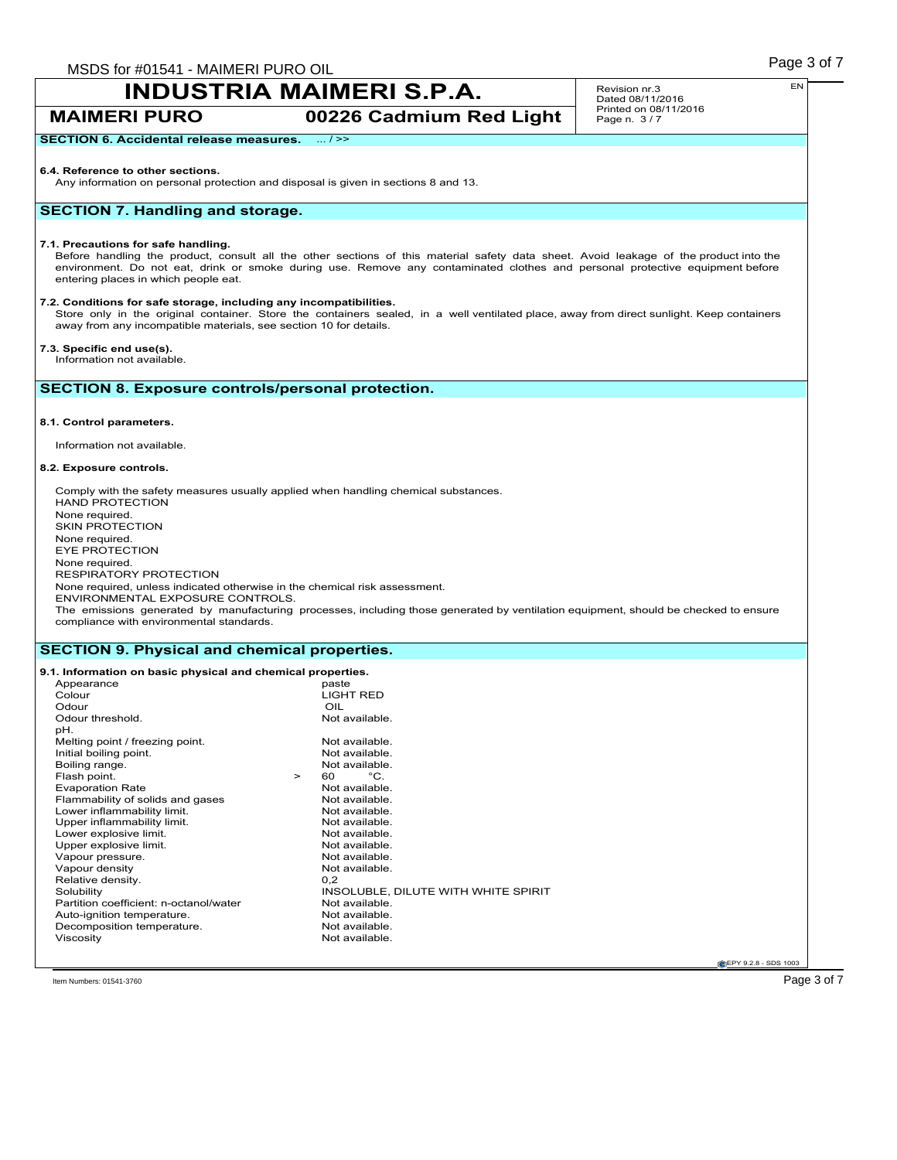**MAIMERI PURO 00226 Cadmium Red Light**

**SECTION 6. Accidental release measures.** ... / >>

### **6.4. Reference to other sections.**

Any information on personal protection and disposal is given in sections 8 and 13.

# **SECTION 7. Handling and storage.**

### **7.1. Precautions for safe handling.**

Before handling the product, consult all the other sections of this material safety data sheet. Avoid leakage of the product into the environment. Do not eat, drink or smoke during use. Remove any contaminated clothes and personal protective equipment before entering places in which people eat.

#### **7.2. Conditions for safe storage, including any incompatibilities.**

Store only in the original container. Store the containers sealed, in a well ventilated place, away from direct sunlight. Keep containers away from any incompatible materials, see section 10 for details.

## **7.3. Specific end use(s).**

Information not available.

# **SECTION 8. Exposure controls/personal protection.**

### **8.1. Control parameters.**

Information not available.

### **8.2. Exposure controls.**

Comply with the safety measures usually applied when handling chemical substances. HAND PROTECTION None required. SKIN PROTECTION None required. EYE PROTECTION None required. RESPIRATORY PROTECTION None required, unless indicated otherwise in the chemical risk assessment. ENVIRONMENTAL EXPOSURE CONTROLS. The emissions generated by manufacturing processes, including those generated by ventilation equipment, should be checked to ensure compliance with environmental standards.

## **SECTION 9. Physical and chemical properties.**

#### **9.1. Information on basic physical and chemical properties.** Appearance<br>Colour LIGHT RED Odour<br>
Odour threshold.<br>
Odour threshold. Odour threshold. pH. Melting point / freezing point.<br>
Initial boiling point.<br>
Not available. Initial boiling point.<br>
Boiling range.<br>
Not available. Boiling range. Not available to the set of the Not available to the Not available. Not available to the Not available. Not available to the Not available. Not available to the Not available. Not available to the Not availa Flash point.  $\begin{array}{ccc} 5 & 5 & 5 \\ 2 & 5 & 6 \\ 6 & 7 & 7 \end{array}$  Point Practice Rate Not available. Evaporation Rate<br>
Flammability of solids and gases<br>
Not available. Flammability of solids and gases Not available.<br>
Not available.<br>
Not available. Lower inflammability limit.<br>
Upper inflammability limit.<br>
Upper inflammability limit.<br>
Not available. Upper inflammability limit.<br>
Lower explosive limit.<br>
Not available. Lower explosive limit.<br>
Upper explosive limit.<br>
Upper explosive limit. Upper explosive limit.<br>
Vapour pressure.<br>
Vapour pressure.<br>
Not available. Vapour pressure.<br>
Vapour density<br>
Vapour density<br>
Vapour density<br>
Vapour density<br>
Vapour density<br>
Vapour density<br>
Vapour density<br>
Vapour density Vapour density Not<br>
Relative density 0.2 Relative density.<br>Solubility INSOLUBLE, DILUTE WITH WHITE SPIRIT<br>Not available Partition coefficient: n-octanol/water Not available.<br>
Auto-ignition temperature Not available Auto-ignition temperature.<br>
Decomposition temperature<br>
Not available. Decomposition temperature. Viscosity **Not available.**

**CEPY 9.2.8 - SDS 1003** 

 $\Gamma$ ltem Numbers: 01541-3760  $\rm P$ age  $3$  of  $7$ 

EN

Revision nr.3 Dated 08/11/2016 Printed on 08/11/2016 Page n. 3 / 7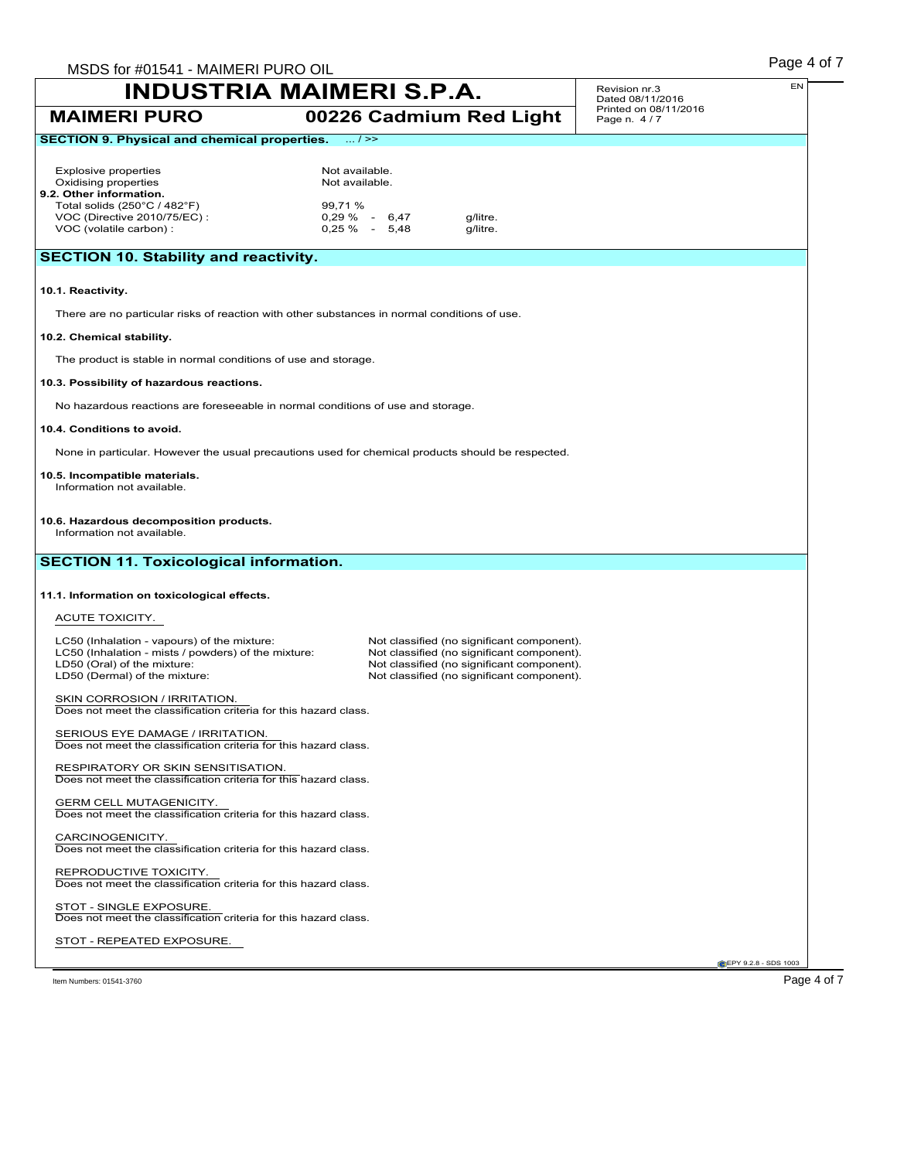|                                                                                                                                                                    | MSDS for #01541 - MAIMERI PURO OIL<br>INDUSTRIA MAIMERI S.P.A. |  |                                                                                                                                                                                      | Revision nr.3                             | EN |
|--------------------------------------------------------------------------------------------------------------------------------------------------------------------|----------------------------------------------------------------|--|--------------------------------------------------------------------------------------------------------------------------------------------------------------------------------------|-------------------------------------------|----|
| <b>MAIMERI PURO</b>                                                                                                                                                |                                                                |  | 00226 Cadmium Red Light                                                                                                                                                              | Dated 08/11/2016<br>Printed on 08/11/2016 |    |
| <b>SECTION 9. Physical and chemical properties.</b>                                                                                                                | $\dots / \ge$                                                  |  |                                                                                                                                                                                      | Page n. 4/7                               |    |
|                                                                                                                                                                    |                                                                |  |                                                                                                                                                                                      |                                           |    |
| <b>Explosive properties</b><br>Oxidising properties<br>9.2. Other information.                                                                                     | Not available.<br>Not available.                               |  |                                                                                                                                                                                      |                                           |    |
| Total solids $(250^{\circ}C / 482^{\circ}F)$                                                                                                                       | 99,71 %                                                        |  |                                                                                                                                                                                      |                                           |    |
| VOC (Directive 2010/75/EC):<br>VOC (volatile carbon) :                                                                                                             | $0,29\% - 6,47$<br>$0,25\%$ - 5,48                             |  | g/litre.<br>g/litre.                                                                                                                                                                 |                                           |    |
| <b>SECTION 10. Stability and reactivity.</b>                                                                                                                       |                                                                |  |                                                                                                                                                                                      |                                           |    |
| 10.1. Reactivity.                                                                                                                                                  |                                                                |  |                                                                                                                                                                                      |                                           |    |
| There are no particular risks of reaction with other substances in normal conditions of use.                                                                       |                                                                |  |                                                                                                                                                                                      |                                           |    |
| 10.2. Chemical stability.                                                                                                                                          |                                                                |  |                                                                                                                                                                                      |                                           |    |
| The product is stable in normal conditions of use and storage.                                                                                                     |                                                                |  |                                                                                                                                                                                      |                                           |    |
| 10.3. Possibility of hazardous reactions.                                                                                                                          |                                                                |  |                                                                                                                                                                                      |                                           |    |
| No hazardous reactions are foreseeable in normal conditions of use and storage.                                                                                    |                                                                |  |                                                                                                                                                                                      |                                           |    |
| 10.4. Conditions to avoid.                                                                                                                                         |                                                                |  |                                                                                                                                                                                      |                                           |    |
| None in particular. However the usual precautions used for chemical products should be respected.                                                                  |                                                                |  |                                                                                                                                                                                      |                                           |    |
| 10.5. Incompatible materials.<br>Information not available.                                                                                                        |                                                                |  |                                                                                                                                                                                      |                                           |    |
|                                                                                                                                                                    |                                                                |  |                                                                                                                                                                                      |                                           |    |
| 10.6. Hazardous decomposition products.<br>Information not available.                                                                                              |                                                                |  |                                                                                                                                                                                      |                                           |    |
|                                                                                                                                                                    |                                                                |  |                                                                                                                                                                                      |                                           |    |
| <b>SECTION 11. Toxicological information.</b>                                                                                                                      |                                                                |  |                                                                                                                                                                                      |                                           |    |
| 11.1. Information on toxicological effects.                                                                                                                        |                                                                |  |                                                                                                                                                                                      |                                           |    |
|                                                                                                                                                                    |                                                                |  |                                                                                                                                                                                      |                                           |    |
| ACUTE TOXICITY.                                                                                                                                                    |                                                                |  |                                                                                                                                                                                      |                                           |    |
| LC50 (Inhalation - vapours) of the mixture:<br>LC50 (Inhalation - mists / powders) of the mixture:<br>LD50 (Oral) of the mixture:<br>LD50 (Dermal) of the mixture: |                                                                |  | Not classified (no significant component).<br>Not classified (no significant component).<br>Not classified (no significant component).<br>Not classified (no significant component). |                                           |    |
| SKIN CORROSION / IRRITATION.<br>Does not meet the classification criteria for this hazard class.                                                                   |                                                                |  |                                                                                                                                                                                      |                                           |    |
| SERIOUS EYE DAMAGE / IRRITATION.<br>Does not meet the classification criteria for this hazard class.                                                               |                                                                |  |                                                                                                                                                                                      |                                           |    |
| RESPIRATORY OR SKIN SENSITISATION.<br>Does not meet the classification criteria for this hazard class.                                                             |                                                                |  |                                                                                                                                                                                      |                                           |    |
| <b>GERM CELL MUTAGENICITY.</b><br>Does not meet the classification criteria for this hazard class.                                                                 |                                                                |  |                                                                                                                                                                                      |                                           |    |
| CARCINOGENICITY.<br>Does not meet the classification criteria for this hazard class.                                                                               |                                                                |  |                                                                                                                                                                                      |                                           |    |
| REPRODUCTIVE TOXICITY.<br>Does not meet the classification criteria for this hazard class.                                                                         |                                                                |  |                                                                                                                                                                                      |                                           |    |
| STOT - SINGLE EXPOSURE.<br>Does not meet the classification criteria for this hazard class.                                                                        |                                                                |  |                                                                                                                                                                                      |                                           |    |
| STOT - REPEATED EXPOSURE.                                                                                                                                          |                                                                |  |                                                                                                                                                                                      |                                           |    |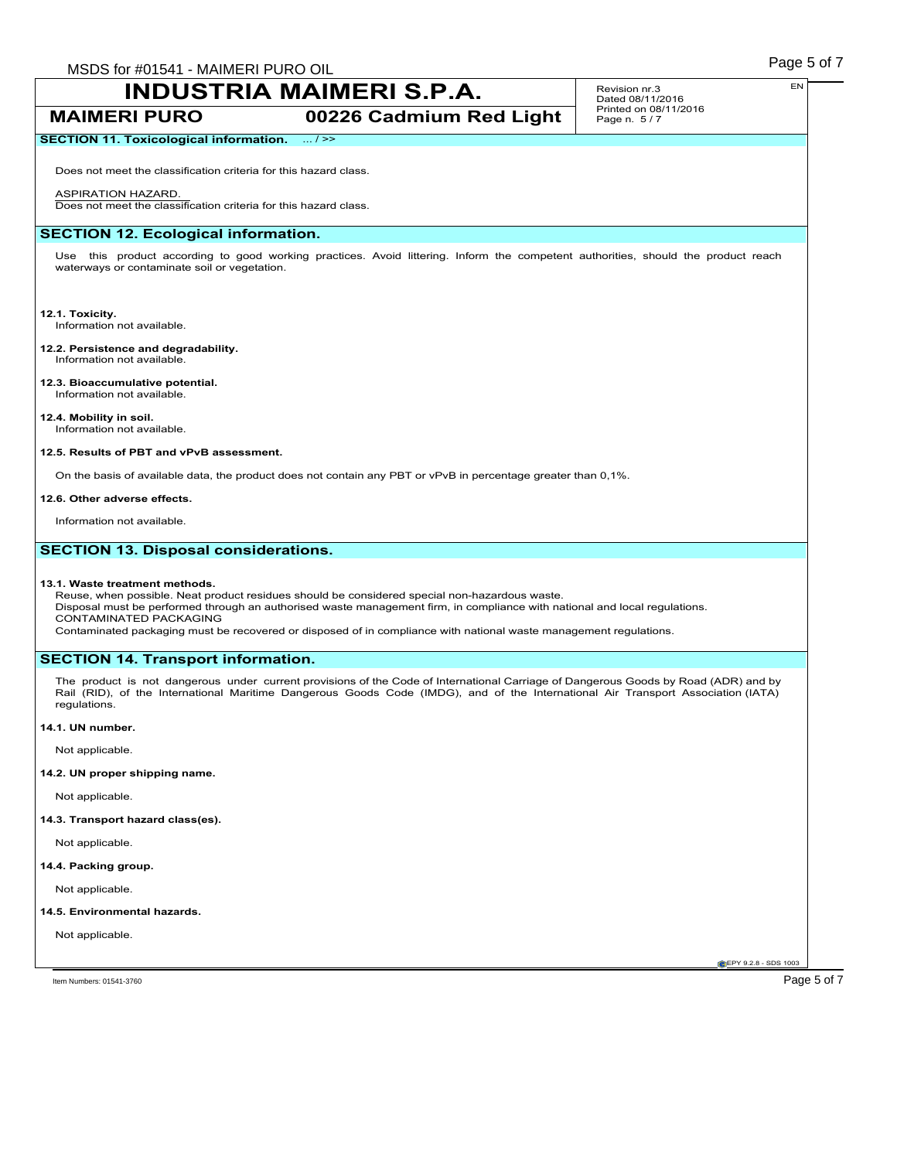**MAIMERI PURO 00226 Cadmium Red Light**

#### Revision nr.3 Dated 08/11/2016 Printed on 08/11/2016 Page n. 5 / 7

# **SECTION 11. Toxicological information.** ... / >>

Does not meet the classification criteria for this hazard class.

### ASPIRATION HAZARD.

Does not meet the classification criteria for this hazard class.

# **SECTION 12. Ecological information.**

Use this product according to good working practices. Avoid littering. Inform the competent authorities, should the product reach waterways or contaminate soil or vegetation.

# **12.1. Toxicity.**

Information not available.

#### **12.2. Persistence and degradability.** Information not available.

**12.3. Bioaccumulative potential.** Information not available.

# **12.4. Mobility in soil.**

Information not available.

## **12.5. Results of PBT and vPvB assessment.**

On the basis of available data, the product does not contain any PBT or vPvB in percentage greater than 0,1%.

### **12.6. Other adverse effects.**

Information not available.

# **SECTION 13. Disposal considerations.**

### **13.1. Waste treatment methods.**

Reuse, when possible. Neat product residues should be considered special non-hazardous waste. Disposal must be performed through an authorised waste management firm, in compliance with national and local regulations. CONTAMINATED PACKAGING

Contaminated packaging must be recovered or disposed of in compliance with national waste management regulations.

# **SECTION 14. Transport information.**

The product is not dangerous under current provisions of the Code of International Carriage of Dangerous Goods by Road (ADR) and by Rail (RID), of the International Maritime Dangerous Goods Code (IMDG), and of the International Air Transport Association (IATA) regulations.

### **14.1. UN number.**

Not applicable.

# **14.2. UN proper shipping name.**

Not applicable.

# **14.3. Transport hazard class(es).**

Not applicable.

### **14.4. Packing group.**

Not applicable.

### **14.5. Environmental hazards.**

Not applicable.

**CEPY 9.2.8 - SDS 1003**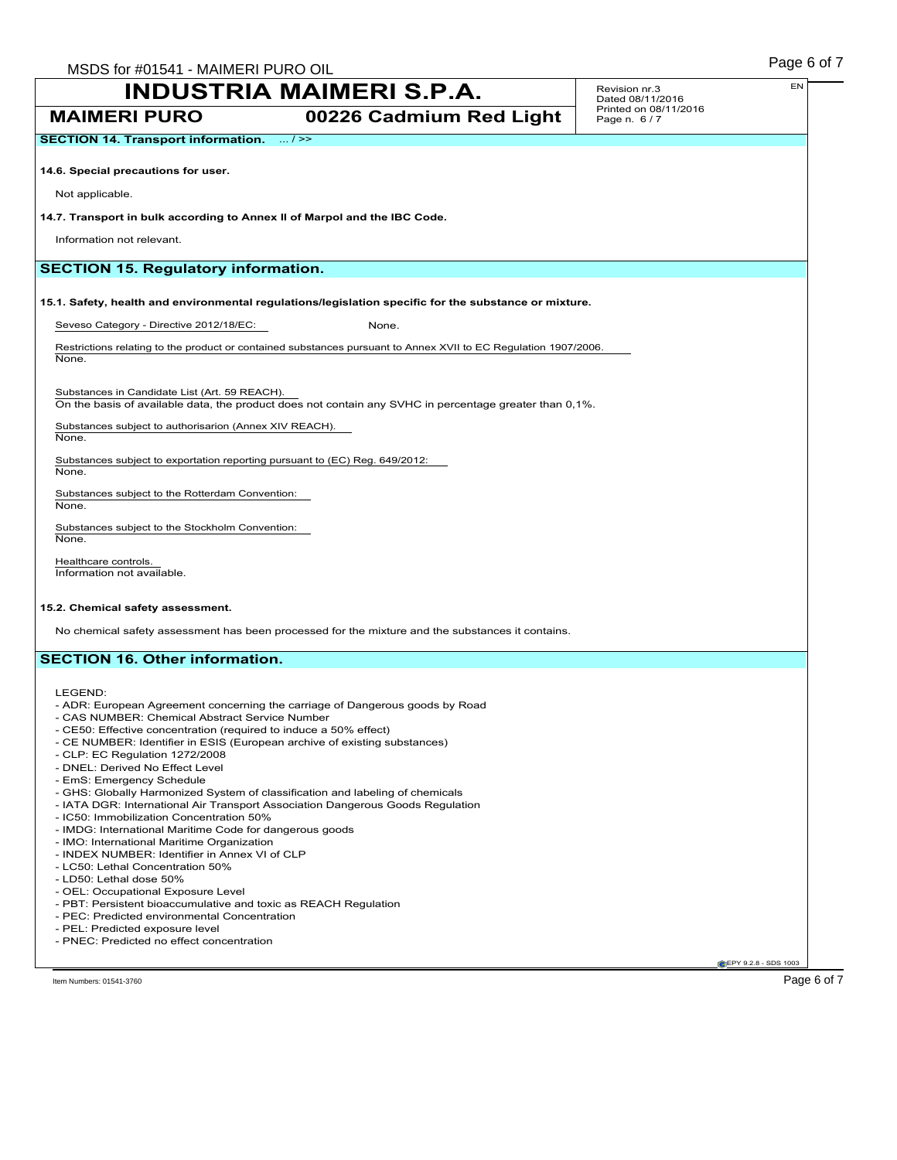**MAIMERI PURO 00226 Cadmium Red Light**

**SECTION 14. Transport information.** ... />>

**14.6. Special precautions for user.**

Not applicable.

### **14.7. Transport in bulk according to Annex II of Marpol and the IBC Code.**

Information not relevant.

# **SECTION 15. Regulatory information.**

**15.1. Safety, health and environmental regulations/legislation specific for the substance or mixture.**

Seveso Category - Directive 2012/18/EC: None.

Restrictions relating to the product or contained substances pursuant to Annex XVII to EC Regulation 1907/2006. None.

Substances in Candidate List (Art. 59 REACH). On the basis of available data, the product does not contain any SVHC in percentage greater than 0,1%.

Substances subject to authorisarion (Annex XIV REACH). None.

Substances subject to exportation reporting pursuant to (EC) Reg. 649/2012:

Substances subject to the Rotterdam Convention: None.

Substances subject to the Stockholm Convention: None.

Healthcare controls. Information not available.

### **15.2. Chemical safety assessment.**

No chemical safety assessment has been processed for the mixture and the substances it contains.

# **SECTION 16. Other information.**

LEGEND:

None.

- ADR: European Agreement concerning the carriage of Dangerous goods by Road
- CAS NUMBER: Chemical Abstract Service Number
- CE50: Effective concentration (required to induce a 50% effect)
- CE NUMBER: Identifier in ESIS (European archive of existing substances)
- CLP: EC Regulation 1272/2008
- DNEL: Derived No Effect Level
- EmS: Emergency Schedule
- GHS: Globally Harmonized System of classification and labeling of chemicals
- IATA DGR: International Air Transport Association Dangerous Goods Regulation
- IC50: Immobilization Concentration 50%
- IMDG: International Maritime Code for dangerous goods
- IMO: International Maritime Organization
- INDEX NUMBER: Identifier in Annex VI of CLP
- LC50: Lethal Concentration 50%
- LD50: Lethal dose 50%
- OEL: Occupational Exposure Level
- PBT: Persistent bioaccumulative and toxic as REACH Regulation
- PEC: Predicted environmental Concentration
- PEL: Predicted exposure level
- PNEC: Predicted no effect concentration

Item Numbers: 01541-3760 Page 6 of 7

**CEPY 9.2.8 - SDS 1003**